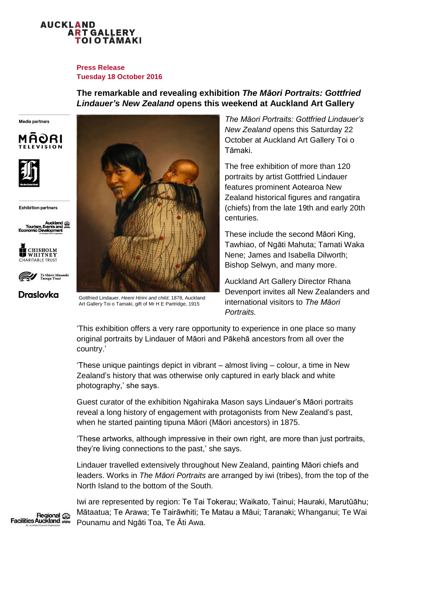

### **Press Release Tuesday 18 October 2016**

# **The remarkable and revealing exhibition** *The Māori Portraits: Gottfried Lindauer's New Zealand* **opens this weekend at Auckland Art Gallery**

Media partners





**Exhibition partners** 





**Draslovka** 



Gottfried Lindauer, *Heeni Hirini and child*, 1878, Auckland Art Gallery Toi o Tamaki, gift of Mr H E Partridge, 1915

*The Māori Portraits: Gottfried Lindauer's New Zealand* opens this Saturday 22 October at Auckland Art Gallery Toi o Tāmaki.

The free exhibition of more than 120 portraits by artist Gottfried Lindauer features prominent Aotearoa New Zealand historical figures and rangatira (chiefs) from the late 19th and early 20th centuries.

These include the second Māori King, Tawhiao, of Ngāti Mahuta; Tamati Waka Nene; James and Isabella Dilworth; Bishop Selwyn, and many more.

Auckland Art Gallery Director Rhana Devenport invites all New Zealanders and international visitors to *The Māori Portraits.*

'This exhibition offers a very rare opportunity to experience in one place so many original portraits by Lindauer of Māori and Pākehā ancestors from all over the country.'

'These unique paintings depict in vibrant – almost living – colour, a time in New Zealand's history that was otherwise only captured in early black and white photography,' she says.

Guest curator of the exhibition Ngahiraka Mason says Lindauer's Māori portraits reveal a long history of engagement with protagonists from New Zealand's past, when he started painting tipuna Māori (Māori ancestors) in 1875.

'These artworks, although impressive in their own right, are more than just portraits, they're living connections to the past,' she says.

Lindauer travelled extensively throughout New Zealand, painting Māori chiefs and leaders. Works in *The Māori Portraits* are arranged by iwi (tribes), from the top of the North Island to the bottom of the South.

Iwi are represented by region: Te Tai Tokerau; Waikato, Tainui; Hauraki, Marutūāhu; Mātaatua; Te Arawa; Te Tairāwhiti; Te Matau a Māui; Taranaki; Whanganui; Te Wai Pounamu and Ngāti Toa, Te Ăti Awa.

Regional **Facilities Auckland**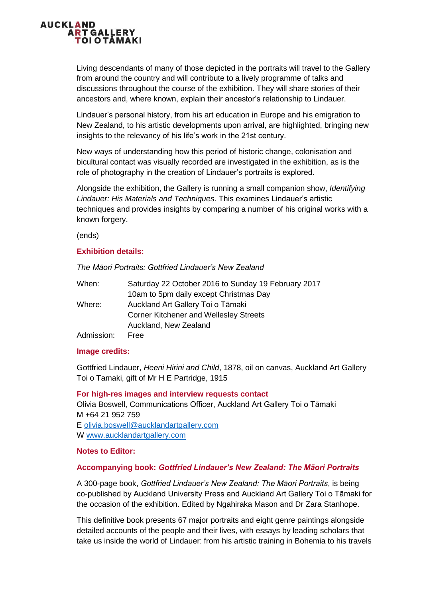

Living descendants of many of those depicted in the portraits will travel to the Gallery from around the country and will contribute to a lively programme of talks and discussions throughout the course of the exhibition. They will share stories of their ancestors and, where known, explain their ancestor's relationship to Lindauer.

Lindauer's personal history, from his art education in Europe and his emigration to New Zealand, to his artistic developments upon arrival, are highlighted, bringing new insights to the relevancy of his life's work in the 21st century.

New ways of understanding how this period of historic change, colonisation and bicultural contact was visually recorded are investigated in the exhibition, as is the role of photography in the creation of Lindauer's portraits is explored.

Alongside the exhibition, the Gallery is running a small companion show, *Identifying Lindauer: His Materials and Techniques*. This examines Lindauer's artistic techniques and provides insights by comparing a number of his original works with a known forgery.

(ends)

## **Exhibition details:**

*The Māori Portraits: Gottfried Lindauer's New Zealand*

| When:      | Saturday 22 October 2016 to Sunday 19 February 2017 |
|------------|-----------------------------------------------------|
|            | 10am to 5pm daily except Christmas Day              |
| Where:     | Auckland Art Gallery Toi o Tāmaki                   |
|            | <b>Corner Kitchener and Wellesley Streets</b>       |
|            | Auckland, New Zealand                               |
| Admission: | Free                                                |

#### **Image credits:**

Gottfried Lindauer, *Heeni Hirini and Child*, 1878, oil on canvas, Auckland Art Gallery Toi o Tamaki, gift of Mr H E Partridge, 1915

**For high-res images and interview requests contact** Olivia Boswell, Communications Officer, Auckland Art Gallery Toi o Tāmaki M +64 21 952 759 E [olivia.boswell@aucklandartgallery.com](mailto:olivia.boswell@aucklandartgallery.com) W [www.aucklandartgallery.com](http://www.aucklandartgallery.com/)

#### **Notes to Editor:**

# **Accompanying book:** *Gottfried Lindauer's New Zealand: The Māori Portraits*

A 300-page book, *Gottfried Lindauer's New Zealand: The Māori Portraits*, is being co-published by Auckland University Press and Auckland Art Gallery Toi o Tāmaki for the occasion of the exhibition. Edited by Ngahiraka Mason and Dr Zara Stanhope.

This definitive book presents 67 major portraits and eight genre paintings alongside detailed accounts of the people and their lives, with essays by leading scholars that take us inside the world of Lindauer: from his artistic training in Bohemia to his travels